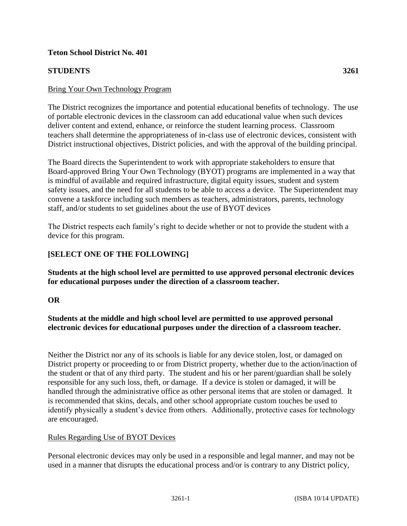## **Teton School District No. 401**

## **STUDENTS 3261**

#### Bring Your Own Technology Program

The District recognizes the importance and potential educational benefits of technology. The use of portable electronic devices in the classroom can add educational value when such devices deliver content and extend, enhance, or reinforce the student learning process. Classroom teachers shall determine the appropriateness of in-class use of electronic devices, consistent with District instructional objectives, District policies, and with the approval of the building principal.

The Board directs the Superintendent to work with appropriate stakeholders to ensure that Board-approved Bring Your Own Technology (BYOT) programs are implemented in a way that is mindful of available and required infrastructure, digital equity issues, student and system safety issues, and the need for all students to be able to access a device. The Superintendent may convene a taskforce including such members as teachers, administrators, parents, technology staff, and/or students to set guidelines about the use of BYOT devices

The District respects each family's right to decide whether or not to provide the student with a device for this program.

# **[SELECT ONE OF THE FOLLOWING]**

**Students at the high school level are permitted to use approved personal electronic devices for educational purposes under the direction of a classroom teacher.** 

## **OR**

**Students at the middle and high school level are permitted to use approved personal electronic devices for educational purposes under the direction of a classroom teacher.** 

Neither the District nor any of its schools is liable for any device stolen, lost, or damaged on District property or proceeding to or from District property, whether due to the action/inaction of the student or that of any third party. The student and his or her parent/guardian shall be solely responsible for any such loss, theft, or damage. If a device is stolen or damaged, it will be handled through the administrative office as other personal items that are stolen or damaged. It is recommended that skins, decals, and other school appropriate custom touches be used to identify physically a student's device from others. Additionally, protective cases for technology are encouraged.

#### Rules Regarding Use of BYOT Devices

Personal electronic devices may only be used in a responsible and legal manner, and may not be used in a manner that disrupts the educational process and/or is contrary to any District policy,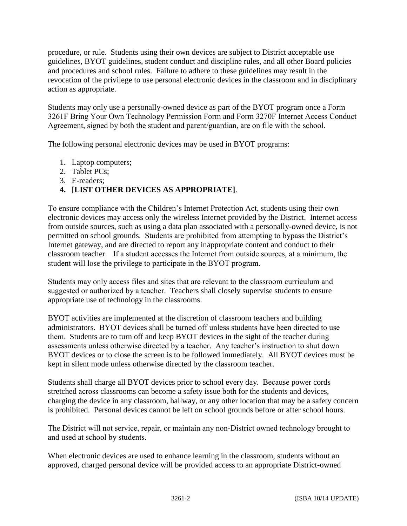procedure, or rule. Students using their own devices are subject to District acceptable use guidelines, BYOT guidelines, student conduct and discipline rules, and all other Board policies and procedures and school rules. Failure to adhere to these guidelines may result in the revocation of the privilege to use personal electronic devices in the classroom and in disciplinary action as appropriate.

Students may only use a personally-owned device as part of the BYOT program once a Form 3261F Bring Your Own Technology Permission Form and Form 3270F Internet Access Conduct Agreement, signed by both the student and parent/guardian, are on file with the school.

The following personal electronic devices may be used in BYOT programs:

- 1. Laptop computers;
- 2. Tablet PCs;
- 3. E-readers;

# **4. [LIST OTHER DEVICES AS APPROPRIATE]**.

To ensure compliance with the Children's Internet Protection Act, students using their own electronic devices may access only the wireless Internet provided by the District. Internet access from outside sources, such as using a data plan associated with a personally-owned device, is not permitted on school grounds. Students are prohibited from attempting to bypass the District's Internet gateway, and are directed to report any inappropriate content and conduct to their classroom teacher. If a student accesses the Internet from outside sources, at a minimum, the student will lose the privilege to participate in the BYOT program.

Students may only access files and sites that are relevant to the classroom curriculum and suggested or authorized by a teacher. Teachers shall closely supervise students to ensure appropriate use of technology in the classrooms.

BYOT activities are implemented at the discretion of classroom teachers and building administrators. BYOT devices shall be turned off unless students have been directed to use them. Students are to turn off and keep BYOT devices in the sight of the teacher during assessments unless otherwise directed by a teacher. Any teacher's instruction to shut down BYOT devices or to close the screen is to be followed immediately. All BYOT devices must be kept in silent mode unless otherwise directed by the classroom teacher.

Students shall charge all BYOT devices prior to school every day. Because power cords stretched across classrooms can become a safety issue both for the students and devices, charging the device in any classroom, hallway, or any other location that may be a safety concern is prohibited. Personal devices cannot be left on school grounds before or after school hours.

The District will not service, repair, or maintain any non-District owned technology brought to and used at school by students.

When electronic devices are used to enhance learning in the classroom, students without an approved, charged personal device will be provided access to an appropriate District-owned